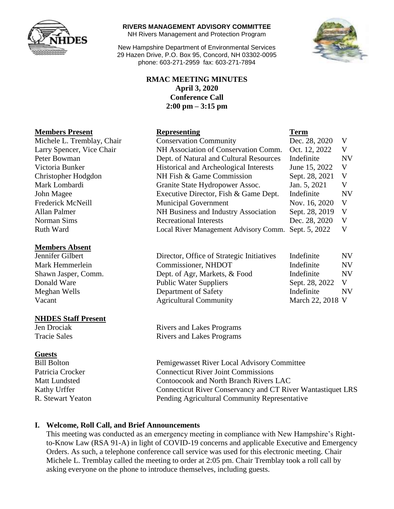

#### **RIVERS MANAGEMENT ADVISORY COMMITTEE**

NH Rivers Management and Protection Program

New Hampshire Department of Environmental Services 29 Hazen Drive, P.O. Box 95, Concord, NH 03302-0095 phone: 603-271-2959 fax: 603-271-7894



## **RMAC MEETING MINUTES April 3, 2020 Conference Call 2:00 pm – 3:15 pm**

#### **Members Absent**

## **NHDES Staff Present**

## **Guests**

| <b>Members Present</b>     | <b>Representing</b>                     | <b>Term</b>    |           |
|----------------------------|-----------------------------------------|----------------|-----------|
| Michele L. Tremblay, Chair | <b>Conservation Community</b>           | Dec. 28, 2020  | V         |
| Larry Spencer, Vice Chair  | NH Association of Conservation Comm.    | Oct. 12, 2022  | V         |
| Peter Bowman               | Dept. of Natural and Cultural Resources | Indefinite     | <b>NV</b> |
| Victoria Bunker            | Historical and Archeological Interests  | June 15, 2022  | V         |
| Christopher Hodgdon        | NH Fish & Game Commission               | Sept. 28, 2021 | V         |
| Mark Lombardi              | Granite State Hydropower Assoc.         | Jan. 5, 2021   | V         |
| John Magee                 | Executive Director, Fish & Game Dept.   | Indefinite     | <b>NV</b> |
| Frederick McNeill          | <b>Municipal Government</b>             | Nov. 16, 2020  | V         |
| Allan Palmer               | NH Business and Industry Association    | Sept. 28, 2019 | V         |
| Norman Sims                | <b>Recreational Interests</b>           | Dec. 28, 2020  | V         |
| Ruth Ward                  | Local River Management Advisory Comm.   | Sept. 5, 2022  | V         |

| Jennifer Gilbert    | Director, Office of Strategic Initiatives | Indefinite       | NV        |
|---------------------|-------------------------------------------|------------------|-----------|
| Mark Hemmerlein     | Commissioner, NHDOT                       | Indefinite       | <b>NV</b> |
| Shawn Jasper, Comm. | Dept. of Agr, Markets, & Food             | Indefinite       | <b>NV</b> |
| Donald Ware         | <b>Public Water Suppliers</b>             | Sept. 28, 2022   |           |
| Meghan Wells        | Department of Safety                      | Indefinite       | <b>NV</b> |
| Vacant              | <b>Agricultural Community</b>             | March 22, 2018 V |           |

Jen Drociak Rivers and Lakes Programs Tracie Sales Rivers and Lakes Programs

Bill Bolton Pemigewasset River Local Advisory Committee Patricia Crocker Connecticut River Joint Commissions Matt Lundsted Contoocook and North Branch Rivers LAC Kathy Urffer **Connecticut River Conservancy and CT River Wantastiquet LRS** R. Stewart Yeaton Pending Agricultural Community Representative

## **I. Welcome, Roll Call, and Brief Announcements**

This meeting was conducted as an emergency meeting in compliance with New Hampshire's Rightto-Know Law (RSA 91-A) in light of COVID-19 concerns and applicable Executive and Emergency Orders. As such, a telephone conference call service was used for this electronic meeting. Chair Michele L. Tremblay called the meeting to order at 2:05 pm. Chair Tremblay took a roll call by asking everyone on the phone to introduce themselves, including guests.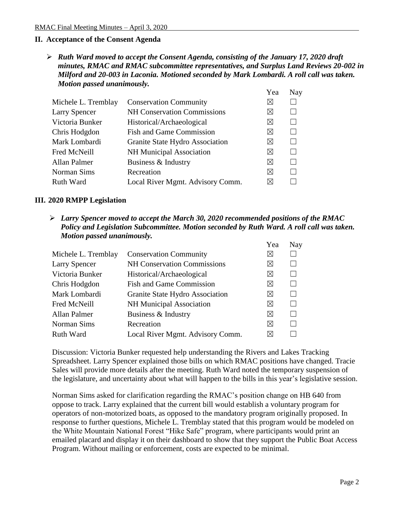## **II. Acceptance of the Consent Agenda**

 *Ruth Ward moved to accept the Consent Agenda, consisting of the January 17, 2020 draft minutes, RMAC and RMAC subcommittee representatives, and Surplus Land Reviews 20-002 in Milford and 20-003 in Laconia. Motioned seconded by Mark Lombardi. A roll call was taken. Motion passed unanimously.* 

|                      |                                    | Yea         | Nay    |
|----------------------|------------------------------------|-------------|--------|
| Michele L. Tremblay  | <b>Conservation Community</b>      | $\boxtimes$ |        |
| <b>Larry Spencer</b> | <b>NH Conservation Commissions</b> | $\boxtimes$ |        |
| Victoria Bunker      | Historical/Archaeological          | $\boxtimes$ | $\Box$ |
| Chris Hodgdon        | <b>Fish and Game Commission</b>    | $\boxtimes$ |        |
| Mark Lombardi        | Granite State Hydro Association    | $\boxtimes$ |        |
| Fred McNeill         | NH Municipal Association           | $\boxtimes$ |        |
| Allan Palmer         | Business & Industry                | ⊠           | $\Box$ |
| Norman Sims          | Recreation                         | $\boxtimes$ |        |
| Ruth Ward            | Local River Mgmt. Advisory Comm.   | $\boxtimes$ |        |

## **III. 2020 RMPP Legislation**

 *Larry Spencer moved to accept the March 30, 2020 recommended positions of the RMAC Policy and Legislation Subcommittee. Motion seconded by Ruth Ward. A roll call was taken. Motion passed unanimously.* 

|                      |                                    | Yea         | Nay |
|----------------------|------------------------------------|-------------|-----|
| Michele L. Tremblay  | <b>Conservation Community</b>      | $\boxtimes$ |     |
| <b>Larry Spencer</b> | <b>NH Conservation Commissions</b> | $\boxtimes$ |     |
| Victoria Bunker      | Historical/Archaeological          | $\boxtimes$ |     |
| Chris Hodgdon        | <b>Fish and Game Commission</b>    | ⊠           |     |
| Mark Lombardi        | Granite State Hydro Association    | $\boxtimes$ |     |
| Fred McNeill         | <b>NH Municipal Association</b>    | ⊠           |     |
| Allan Palmer         | Business & Industry                | $\boxtimes$ |     |
| Norman Sims          | Recreation                         | ⊠           |     |
| <b>Ruth Ward</b>     | Local River Mgmt. Advisory Comm.   | $\bowtie$   |     |

Discussion: Victoria Bunker requested help understanding the Rivers and Lakes Tracking Spreadsheet. Larry Spencer explained those bills on which RMAC positions have changed. Tracie Sales will provide more details after the meeting. Ruth Ward noted the temporary suspension of the legislature, and uncertainty about what will happen to the bills in this year's legislative session.

Norman Sims asked for clarification regarding the RMAC's position change on HB 640 from oppose to track. Larry explained that the current bill would establish a voluntary program for operators of non-motorized boats, as opposed to the mandatory program originally proposed. In response to further questions, Michele L. Tremblay stated that this program would be modeled on the White Mountain National Forest "Hike Safe" program, where participants would print an emailed placard and display it on their dashboard to show that they support the Public Boat Access Program. Without mailing or enforcement, costs are expected to be minimal.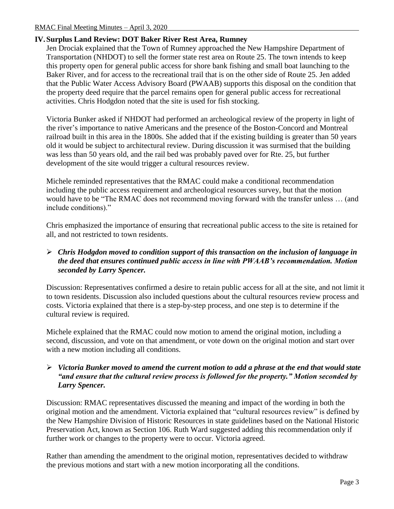# **IV. Surplus Land Review: DOT Baker River Rest Area, Rumney**

Jen Drociak explained that the Town of Rumney approached the New Hampshire Department of Transportation (NHDOT) to sell the former state rest area on Route 25. The town intends to keep this property open for general public access for shore bank fishing and small boat launching to the Baker River, and for access to the recreational trail that is on the other side of Route 25. Jen added that the Public Water Access Advisory Board (PWAAB) supports this disposal on the condition that the property deed require that the parcel remains open for general public access for recreational activities. Chris Hodgdon noted that the site is used for fish stocking.

Victoria Bunker asked if NHDOT had performed an archeological review of the property in light of the river's importance to native Americans and the presence of the Boston-Concord and Montreal railroad built in this area in the 1800s. She added that if the existing building is greater than 50 years old it would be subject to architectural review. During discussion it was surmised that the building was less than 50 years old, and the rail bed was probably paved over for Rte. 25, but further development of the site would trigger a cultural resources review.

Michele reminded representatives that the RMAC could make a conditional recommendation including the public access requirement and archeological resources survey, but that the motion would have to be "The RMAC does not recommend moving forward with the transfer unless … (and include conditions)."

Chris emphasized the importance of ensuring that recreational public access to the site is retained for all, and not restricted to town residents.

# *Chris Hodgdon moved to condition support of this transaction on the inclusion of language in the deed that ensures continued public access in line with PWAAB's recommendation. Motion seconded by Larry Spencer.*

Discussion: Representatives confirmed a desire to retain public access for all at the site, and not limit it to town residents. Discussion also included questions about the cultural resources review process and costs. Victoria explained that there is a step-by-step process, and one step is to determine if the cultural review is required.

Michele explained that the RMAC could now motion to amend the original motion, including a second, discussion, and vote on that amendment, or vote down on the original motion and start over with a new motion including all conditions.

# *Victoria Bunker moved to amend the current motion to add a phrase at the end that would state "and ensure that the cultural review process is followed for the property." Motion seconded by Larry Spencer.*

Discussion: RMAC representatives discussed the meaning and impact of the wording in both the original motion and the amendment. Victoria explained that "cultural resources review" is defined by the New Hampshire Division of Historic Resources in state guidelines based on the National Historic Preservation Act, known as Section 106. Ruth Ward suggested adding this recommendation only if further work or changes to the property were to occur. Victoria agreed.

Rather than amending the amendment to the original motion, representatives decided to withdraw the previous motions and start with a new motion incorporating all the conditions.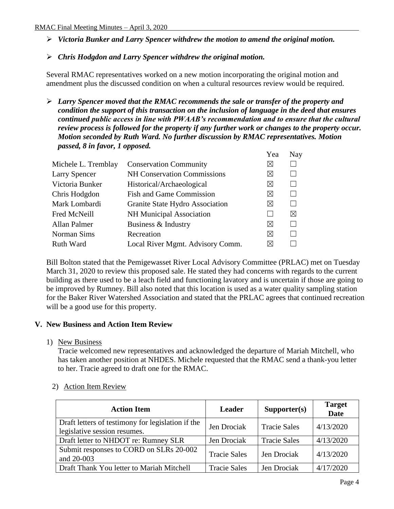- *Victoria Bunker and Larry Spencer withdrew the motion to amend the original motion.*
- *Chris Hodgdon and Larry Spencer withdrew the original motion.*

Several RMAC representatives worked on a new motion incorporating the original motion and amendment plus the discussed condition on when a cultural resources review would be required.

 *Larry Spencer moved that the RMAC recommends the sale or transfer of the property and condition the support of this transaction on the inclusion of language in the deed that ensures continued public access in line with PWAAB's recommendation and to ensure that the cultural review process is followed for the property if any further work or changes to the property occur. Motion seconded by Ruth Ward. No further discussion by RMAC representatives. Motion passed, 8 in favor, 1 opposed.*

|                     |                                    | Yea         | Nay |
|---------------------|------------------------------------|-------------|-----|
| Michele L. Tremblay | <b>Conservation Community</b>      | $\bowtie$   |     |
| Larry Spencer       | <b>NH Conservation Commissions</b> | $\boxtimes$ |     |
| Victoria Bunker     | Historical/Archaeological          | $\boxtimes$ |     |
| Chris Hodgdon       | <b>Fish and Game Commission</b>    | $\boxtimes$ | L   |
| Mark Lombardi       | Granite State Hydro Association    | $\bowtie$   |     |
| Fred McNeill        | <b>NH Municipal Association</b>    |             | ⊠   |
| <b>Allan Palmer</b> | Business & Industry                | ⊠           |     |
| Norman Sims         | Recreation                         | $\boxtimes$ |     |
| <b>Ruth Ward</b>    | Local River Mgmt. Advisory Comm.   | $\bowtie$   |     |
|                     |                                    |             |     |

Bill Bolton stated that the Pemigewasset River Local Advisory Committee (PRLAC) met on Tuesday March 31, 2020 to review this proposed sale. He stated they had concerns with regards to the current building as there used to be a leach field and functioning lavatory and is uncertain if those are going to be improved by Rumney. Bill also noted that this location is used as a water quality sampling station for the Baker River Watershed Association and stated that the PRLAC agrees that continued recreation will be a good use for this property.

## **V. New Business and Action Item Review**

1) New Business

Tracie welcomed new representatives and acknowledged the departure of Mariah Mitchell, who has taken another position at NHDES. Michele requested that the RMAC send a thank-you letter to her. Tracie agreed to draft one for the RMAC.

| <b>Action Item</b>                                                                | <b>Leader</b>       | Supporter(s)        | <b>Target</b><br><b>Date</b> |
|-----------------------------------------------------------------------------------|---------------------|---------------------|------------------------------|
| Draft letters of testimony for legislation if the<br>legislative session resumes. | Jen Drociak         | <b>Tracie Sales</b> | 4/13/2020                    |
| Draft letter to NHDOT re: Rumney SLR                                              | Jen Drociak         | <b>Tracie Sales</b> | 4/13/2020                    |
| Submit responses to CORD on SLRs 20-002<br>and 20-003                             | <b>Tracie Sales</b> | Jen Drociak         | 4/13/2020                    |
| Draft Thank You letter to Mariah Mitchell                                         | <b>Tracie Sales</b> | Jen Drociak         | 4/17/2020                    |

# 2) Action Item Review